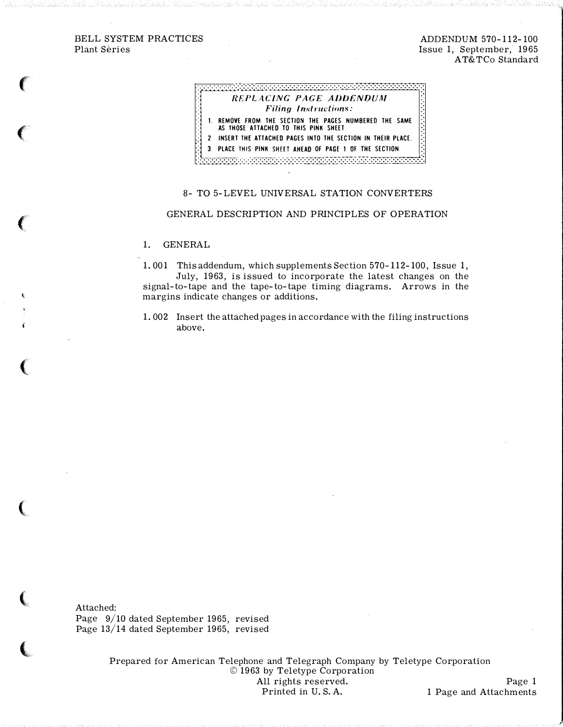# BELL SYSTEM PRACTICES Plant Series

# ADDENDUM 570-112-100 Issue 1, September, 1965 AT&TCo Standard

# 33333333333333333333333 REPLACING PAGE ADDENDUM **Filing Instructions:** 1. REMOVE FROM THE SECTION THE PAGES NUMBERED THE SAME AS THOSE ATTACHED TO THIS PINK SHEET. 2. INSERT THE ATTACHED PAGES INTO THE SECTION IN THEIR PLACE.

PLACE THIS PINK SHEET AHEAD OF PAGE 1 OF THE SECTION. 3 <u> ANG KABUPATÈN MENGENI </u>

### 8- TO 5-LEVEL UNIVERSAL STATION CONVERTERS

### GENERAL DESCRIPTION AND PRINCIPLES OF OPERATION

#### $1.$ **GENERAL**

1.001 This addendum, which supplements Section 570-112-100, Issue 1, July, 1963, is issued to incorporate the latest changes on the signal-to-tape and the tape-to-tape timing diagrams. Arrows in the margins indicate changes or additions.

1.002 Insert the attached pages in accordance with the filing instructions above.

Attached: Page 9/10 dated September 1965, revised Page 13/14 dated September 1965, revised

> Prepared for American Telephone and Telegraph Company by Teletype Corporation © 1963 by Teletype Corporation All rights reserved. Page 1 Printed in U.S.A. 1 Page and Attachments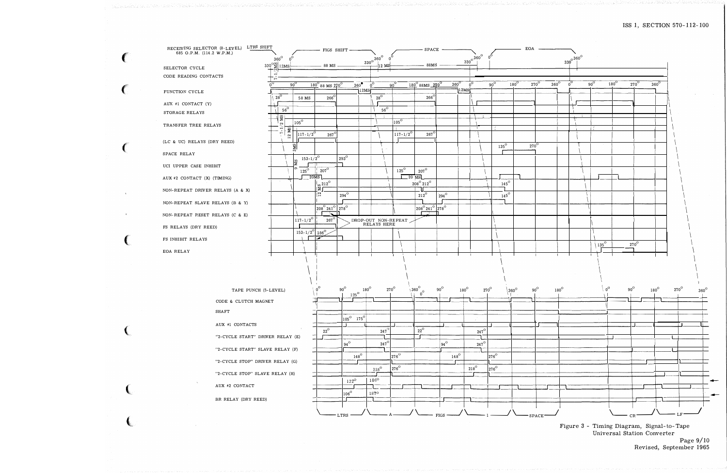| 685 O.P.M. (114.2 W.P.M.)        | RECEIVING SELECTOR (8-LEVEL) LTRS SHIFT |                                                  |                                      | FIGS SHIFT                                              |                                   |                                              |                       | $-$ SPACE                                          |              |                                                  |                             |               |             | EOA                |                  |                              |             |             |                  |                  |             |             |  |
|----------------------------------|-----------------------------------------|--------------------------------------------------|--------------------------------------|---------------------------------------------------------|-----------------------------------|----------------------------------------------|-----------------------|----------------------------------------------------|--------------|--------------------------------------------------|-----------------------------|---------------|-------------|--------------------|------------------|------------------------------|-------------|-------------|------------------|------------------|-------------|-------------|--|
|                                  |                                         | $360^\circ$                                      |                                      |                                                         |                                   | $\frac{330}{9}$ <sup>0 360<sup>0</sup></sup> | $0^{\rm o}$           |                                                    |              |                                                  | $330^{\circ}$ $360^{\circ}$ |               |             |                    |                  | $330^{\circ}$ <sup>360</sup> |             |             |                  |                  |             |             |  |
| SELECTOR CYCLE                   |                                         | $330^{\circ}$ $\frac{\text{°S}}{\text{°S}}$ 12MS |                                      | 88 MS                                                   |                                   | $12$ MS                                      |                       | 88MS                                               |              |                                                  |                             |               |             |                    |                  |                              |             |             |                  |                  |             |             |  |
| CODE READING CONTACTS            |                                         | $\rightarrow$<br>$\overline{ }$                  |                                      |                                                         |                                   |                                              |                       |                                                    |              |                                                  |                             |               |             |                    |                  |                              |             |             |                  |                  |             |             |  |
|                                  |                                         |                                                  | $90^{\circ}$                         | $\frac{180^{\circ}}{88}$ 88 MS $\frac{270^{\circ}}{88}$ | $360^\circ$                       | 12MS                                         | $90^{\circ}$          | $180^{\circ}$ 88MS $270^{\circ}$                   |              | $\frac{1}{360}$ <sup>O</sup><br>$n^{O}$<br> 12MS |                             | $90^{\circ}$  | $180^\circ$ | $270^\circ$        | $360^\mathrm{O}$ | $0^{\circ}$                  | $90^\circ$  | $180^\circ$ | $270^\circ$      | $360^\circ$      |             |             |  |
| FUNCTION CYCLE                   |                                         | $28^\mathrm{O}$                                  | 58 MS                                | $266^\circ$                                             |                                   | $28^\mathrm{O}$                              |                       | $266^{\circ}$                                      |              |                                                  |                             |               |             |                    |                  |                              |             |             |                  |                  |             |             |  |
| AUX #1 CONTACT (Y)               |                                         | $56^\circ$                                       |                                      |                                                         |                                   | $56^\circ$                                   |                       |                                                    |              |                                                  |                             |               |             |                    |                  |                              |             |             |                  |                  |             |             |  |
| STORAGE RELAYS                   |                                         |                                                  |                                      |                                                         |                                   |                                              |                       |                                                    |              |                                                  |                             |               |             |                    |                  |                              |             |             |                  |                  |             |             |  |
| TRANSFER TREE RELAYS             |                                         | $\frac{1}{2}$ MS                                 | $105^\circ$                          |                                                         |                                   |                                              | $105^\circ$           |                                                    |              |                                                  |                             |               |             |                    |                  |                              |             |             |                  |                  |             |             |  |
|                                  |                                         | $7 - 1$<br>$\mathbf{R}$<br>12                    | $117 - 1/2^{0}$                      | $267^\mathrm{O}$                                        |                                   |                                              | $117 - 1/2^0$         | $267^\circ$                                        |              |                                                  |                             |               |             |                    |                  |                              |             |             |                  |                  |             |             |  |
| (LC & UC) RELAYS (DRY REED)      |                                         |                                                  |                                      |                                                         |                                   |                                              |                       |                                                    |              |                                                  |                             | $135^\circ$   |             | $270^\circ$        |                  |                              |             |             |                  |                  |             |             |  |
| SPACE RELAY                      |                                         |                                                  | 3MS                                  |                                                         |                                   |                                              |                       |                                                    |              |                                                  |                             |               |             |                    |                  |                              |             |             |                  |                  |             |             |  |
|                                  |                                         |                                                  | $153 - 1/2^0$<br>SM                  |                                                         | $293^\circ$                       |                                              |                       |                                                    |              |                                                  |                             |               |             |                    |                  |                              |             |             |                  |                  |             |             |  |
| UCI UPPER CASE INHIBIT           |                                         |                                                  | $125^{\rm O}$                        | $207^\mathrm{O}$                                        |                                   |                                              | $125^\circ$           | $207^\circ$                                        |              |                                                  |                             |               |             |                    |                  |                              |             |             |                  |                  |             |             |  |
| AUX #2 CONTACT (X) (TIMING)      |                                         |                                                  |                                      | 20MS                                                    |                                   |                                              |                       | $20$ MS<br>$208^{\rm O}$ $212^{\rm O}$             |              |                                                  |                             | $145^{\rm O}$ |             |                    |                  |                              |             |             |                  |                  |             |             |  |
| NON-REPEAT DRIVER RELAYS (A & X) |                                         |                                                  |                                      | $\sqrt{2^{212}}$                                        |                                   |                                              |                       |                                                    |              |                                                  |                             |               |             |                    |                  |                              |             |             |                  |                  |             |             |  |
|                                  |                                         |                                                  |                                      | $\mathbb{R}$                                            | $294^\mathrm{O}$                  |                                              |                       | $212^{\circ}$                                      | $294^\circ$  |                                                  |                             | $145^{\rm O}$ |             |                    |                  |                              |             |             |                  |                  |             |             |  |
| NON-REPEAT SLAVE RELAYS (B & Y)  |                                         |                                                  |                                      | $208^{\circ} 241^{\circ} 278^{\circ}$                   |                                   |                                              |                       | 208 <sup>°</sup> 241 <sup>°</sup> 278 <sup>°</sup> |              |                                                  |                             |               |             |                    |                  |                              |             |             |                  |                  |             |             |  |
| NON-REPEAT RESET RELAYS (C & E)  |                                         |                                                  | $117 - 1/2^0$                        | 15. T<br>$267^\circ$                                    |                                   | DROP-OUT NON-REPEAT                          |                       |                                                    |              |                                                  |                             |               |             |                    |                  |                              |             |             |                  |                  |             |             |  |
| FS RELAYS (DRY REED)             |                                         |                                                  |                                      |                                                         |                                   | RELAYS HERE                                  |                       |                                                    |              |                                                  |                             |               |             |                    |                  |                              |             |             |                  |                  |             |             |  |
| FS INHIBIT RELAYS                |                                         |                                                  | $153 - 1/2^{\circ}$ 186 <sup>°</sup> | بمعدا                                                   |                                   |                                              |                       |                                                    |              |                                                  |                             |               |             |                    |                  |                              |             |             |                  |                  |             |             |  |
|                                  |                                         |                                                  |                                      |                                                         |                                   |                                              |                       |                                                    |              |                                                  |                             |               |             |                    |                  |                              | $135^\circ$ |             | $270^\mathrm{O}$ |                  |             |             |  |
| EOA RELAY                        |                                         |                                                  |                                      |                                                         |                                   |                                              |                       |                                                    |              |                                                  |                             |               |             |                    |                  |                              |             |             |                  |                  |             |             |  |
|                                  |                                         |                                                  |                                      |                                                         |                                   |                                              |                       |                                                    |              |                                                  |                             |               |             |                    |                  |                              |             |             |                  |                  |             |             |  |
|                                  |                                         |                                                  |                                      |                                                         |                                   |                                              |                       |                                                    |              |                                                  |                             |               |             |                    |                  |                              |             |             |                  |                  |             |             |  |
|                                  |                                         |                                                  |                                      |                                                         |                                   |                                              |                       |                                                    |              |                                                  |                             |               |             |                    |                  |                              |             |             |                  |                  |             |             |  |
|                                  | TAPE PUNCH (5-LEVEL)                    |                                                  |                                      |                                                         | $90^{\rm O}$<br>$125^{\circ}$     | $180^\mathrm{O}$                             | $270^\circ$           | $\sqrt{\frac{360}{00}}$                            | $90^{\circ}$ | $180^\circ$                                      | $270^\mathrm{o}$            |               | $360^\circ$ | $90^{\rm O}$       | $180^\circ$      |                              |             | $0^{\rm o}$ | $90^{\circ}$     | $180^\mathrm{O}$ | $270^\circ$ | $360^\circ$ |  |
|                                  | CODE & CLUTCH MAGNET                    |                                                  |                                      |                                                         |                                   |                                              |                       |                                                    |              |                                                  |                             |               |             |                    |                  |                              |             |             |                  |                  |             |             |  |
|                                  | SHAFT                                   |                                                  |                                      |                                                         |                                   |                                              |                       |                                                    |              |                                                  |                             |               |             |                    |                  |                              |             |             |                  |                  |             |             |  |
|                                  |                                         |                                                  |                                      |                                                         | $ 105^{\circ} \quad 175^{\circ} $ |                                              |                       |                                                    | E.           |                                                  |                             |               |             |                    |                  |                              |             |             |                  |                  |             |             |  |
|                                  | AUX #1 CONTACTS                         |                                                  |                                      | $22^{\rm O}$                                            |                                   | $247^\circ$                                  |                       | $22^{\rm O}$                                       |              |                                                  | $247^\circ$                 |               |             |                    |                  |                              |             |             |                  |                  |             |             |  |
|                                  | "2-CYCLE START" DRIVER RELAY (E)        |                                                  |                                      |                                                         |                                   |                                              |                       |                                                    |              |                                                  |                             |               |             |                    |                  |                              |             |             |                  |                  |             |             |  |
|                                  | "2-CYCLE START" SLAVE RELAY (F)         |                                                  |                                      |                                                         | $194^\circ$                       | $247^\circ$                                  |                       |                                                    | $94^\circ$   |                                                  | $247^\circ$                 |               |             |                    |                  |                              |             |             |                  |                  |             |             |  |
|                                  |                                         |                                                  |                                      | $148^\mathrm{O}$                                        |                                   |                                              | $\vert_{276}^{\rm o}$ |                                                    | $148^\circ$  |                                                  |                             | $276^\circ$   |             |                    |                  |                              |             |             |                  |                  |             |             |  |
| "2-CYCLE STOP" DRIVER RELAY (G)  |                                         | $218^\mathrm{O}$                                 |                                      |                                                         | 276 <sup>o</sup>                  |                                              |                       | $218^{\rm O}$                                      |              | $276^\circ$                                      |                             |               |             |                    |                  |                              |             |             |                  |                  |             |             |  |
|                                  | "2-CYCLE STOP" SLAVE RELAY (H)          |                                                  |                                      |                                                         |                                   |                                              |                       |                                                    |              |                                                  |                             |               |             |                    |                  |                              |             |             |                  |                  |             |             |  |
| $\sim$                           | AUX #2 CONTACT                          |                                                  |                                      |                                                         | $122^{\rm O}$                     | $186^{\rm o}$                                |                       |                                                    |              |                                                  |                             |               |             |                    |                  |                              |             |             |                  |                  |             | ↞           |  |
|                                  |                                         |                                                  |                                      |                                                         | $106^{\rm O}$                     | $187^{\circ}$                                |                       |                                                    |              |                                                  |                             |               |             |                    |                  |                              |             |             |                  |                  |             | ↞           |  |
|                                  | BR RELAY (DRY REED)                     |                                                  |                                      |                                                         |                                   |                                              |                       |                                                    |              |                                                  |                             |               |             |                    |                  |                              |             |             |                  |                  |             |             |  |
|                                  |                                         |                                                  |                                      |                                                         | LTRS                              |                                              |                       |                                                    | FIGS         |                                                  |                             |               |             | SPACE <sup>.</sup> |                  |                              |             |             | CR               |                  |             |             |  |

 $\sim 10^{-1}$ 

Figure 3 - Timing Diagram, Signal-to-Tape<br>Universal Station Converter

Page 9/10<br>Revised, September 1965